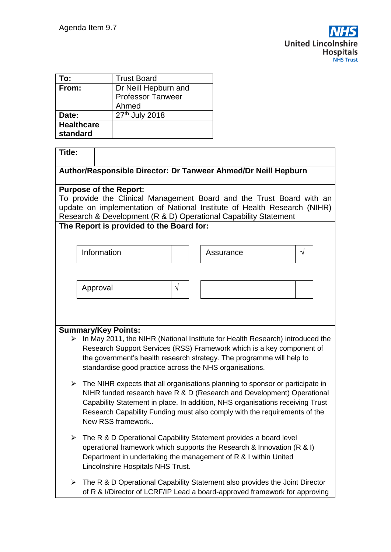| To:               | <b>Trust Board</b>       |  |
|-------------------|--------------------------|--|
| From:             | Dr Neill Hepburn and     |  |
|                   | <b>Professor Tanweer</b> |  |
|                   | Ahmed                    |  |
| Date:             | 27th July 2018           |  |
| <b>Healthcare</b> |                          |  |
| standard          |                          |  |

| <b>Title:</b>                                                                                                                               |                                                                                                |                                                                                                                                  |                                                                                    |           |  |  |
|---------------------------------------------------------------------------------------------------------------------------------------------|------------------------------------------------------------------------------------------------|----------------------------------------------------------------------------------------------------------------------------------|------------------------------------------------------------------------------------|-----------|--|--|
| Author/Responsible Director: Dr Tanweer Ahmed/Dr Neill Hepburn                                                                              |                                                                                                |                                                                                                                                  |                                                                                    |           |  |  |
| <b>Purpose of the Report:</b>                                                                                                               |                                                                                                |                                                                                                                                  |                                                                                    |           |  |  |
|                                                                                                                                             |                                                                                                |                                                                                                                                  | To provide the Clinical Management Board and the Trust Board with an               |           |  |  |
| update on implementation of National Institute of Health Research (NIHR)<br>Research & Development (R & D) Operational Capability Statement |                                                                                                |                                                                                                                                  |                                                                                    |           |  |  |
|                                                                                                                                             | The Report is provided to the Board for:                                                       |                                                                                                                                  |                                                                                    |           |  |  |
|                                                                                                                                             |                                                                                                |                                                                                                                                  |                                                                                    |           |  |  |
|                                                                                                                                             | Information                                                                                    |                                                                                                                                  | Assurance                                                                          | $\sqrt{}$ |  |  |
|                                                                                                                                             |                                                                                                |                                                                                                                                  |                                                                                    |           |  |  |
|                                                                                                                                             |                                                                                                |                                                                                                                                  |                                                                                    |           |  |  |
|                                                                                                                                             | Approval                                                                                       | V                                                                                                                                |                                                                                    |           |  |  |
|                                                                                                                                             |                                                                                                |                                                                                                                                  |                                                                                    |           |  |  |
|                                                                                                                                             |                                                                                                |                                                                                                                                  |                                                                                    |           |  |  |
|                                                                                                                                             |                                                                                                |                                                                                                                                  |                                                                                    |           |  |  |
|                                                                                                                                             | <b>Summary/Key Points:</b>                                                                     |                                                                                                                                  |                                                                                    |           |  |  |
|                                                                                                                                             | In May 2011, the NIHR (National Institute for Health Research) introduced the<br>≻             |                                                                                                                                  |                                                                                    |           |  |  |
|                                                                                                                                             |                                                                                                | Research Support Services (RSS) Framework which is a key component of                                                            |                                                                                    |           |  |  |
|                                                                                                                                             |                                                                                                | the government's health research strategy. The programme will help to<br>standardise good practice across the NHS organisations. |                                                                                    |           |  |  |
|                                                                                                                                             |                                                                                                |                                                                                                                                  |                                                                                    |           |  |  |
|                                                                                                                                             | $\triangleright$ The NIHR expects that all organisations planning to sponsor or participate in |                                                                                                                                  |                                                                                    |           |  |  |
|                                                                                                                                             |                                                                                                |                                                                                                                                  | NIHR funded research have R & D (Research and Development) Operational             |           |  |  |
|                                                                                                                                             | Capability Statement in place. In addition, NHS organisations receiving Trust                  |                                                                                                                                  |                                                                                    |           |  |  |
|                                                                                                                                             | New RSS framework                                                                              |                                                                                                                                  | Research Capability Funding must also comply with the requirements of the          |           |  |  |
|                                                                                                                                             |                                                                                                |                                                                                                                                  |                                                                                    |           |  |  |
|                                                                                                                                             |                                                                                                |                                                                                                                                  | $\triangleright$ The R & D Operational Capability Statement provides a board level |           |  |  |
|                                                                                                                                             |                                                                                                | operational framework which supports the Research & Innovation (R & I)                                                           |                                                                                    |           |  |  |
|                                                                                                                                             |                                                                                                |                                                                                                                                  | Department in undertaking the management of R & I within United                    |           |  |  |
|                                                                                                                                             | Lincolnshire Hospitals NHS Trust.                                                              |                                                                                                                                  |                                                                                    |           |  |  |
| ➤                                                                                                                                           |                                                                                                |                                                                                                                                  | The R & D Operational Capability Statement also provides the Joint Director        |           |  |  |
|                                                                                                                                             |                                                                                                |                                                                                                                                  | of R & I/Director of LCRF/IP Lead a board-approved framework for approving         |           |  |  |